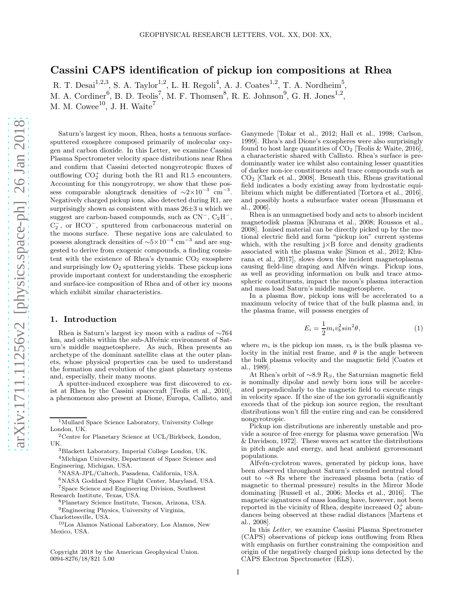# Cassini CAPS identification of pickup ion compositions at Rhea

R. T. Desai<sup>1,2,3</sup>, S. A. Taylor<sup>1,2</sup>, L. H. Regoli<sup>4</sup>, A. J. Coates<sup>1,2</sup>, T. A. Nordheim<sup>5</sup>, M. A. Cordiner<sup>6</sup>, B. D. Teolis<sup>7</sup>, M. F. Thomsen<sup>8</sup>, R. E. Johnson<sup>9</sup>, G. H. Jones<sup>1,2</sup>, M. M. Cowee<sup>10</sup>, J. H. Waite<sup>7</sup>

Saturn's largest icy moon, Rhea, hosts a tenuous surfacesputtered exosphere composed primarily of molecular oxygen and carbon dioxide. In this Letter, we examine Cassini Plasma Spectrometer velocity space distributions near Rhea and confirm that Cassini detected nongyrotropic fluxes of outflowing  $CO_2^+$  during both the R1 and R1.5 encounters. Accounting for this nongyrotropy, we show that these possess comparable alongtrack densities of  $\sim 2 \times 10^{-3}$  cm<sup>-3</sup>. Negatively charged pickup ions, also detected during R1, are surprisingly shown as consistent with mass  $26\pm3$  u which we suggest are carbon-based compounds, such as  $CN^-$ ,  $C_2H^-$ ,  $C_2^-$ , or HCO<sup>-</sup>, sputtered from carbonaceous material on the moons surface. These negative ions are calculated to possess alongtrack densities of  $\sim 5 \times 10^{-4}$  cm<sup>-3</sup> and are suggested to derive from exogenic compounds, a finding consistent with the existence of Rhea's dynamic  $CO<sub>2</sub>$  exosphere and surprisingly low  $O_2$  sputtering yields. These pickup ions provide important context for understanding the exospheric and surface-ice composition of Rhea and of other icy moons which exhibit similar characteristics.

### 1. Introduction

Rhea is Saturn's largest icy moon with a radius of ∼764 km, and orbits within the sub-Alfvénic environment of Saturn's middle magnetosphere. As such, Rhea presents an archetype of the dominant satellite class at the outer planets, whose physical properties can be used to understand the formation and evolution of the giant planetary systems and, especially, their many moons.

A sputter-induced exosphere was first discovered to exist at Rhea by the Cassini spacecraft [Teolis et al., 2010], a phenomenon also present at Dione, Europa, Callisto, and

- <sup>5</sup>NASA-JPL/Caltech, Pasadena, California, USA.
- <sup>6</sup>NASA Goddard Space Flight Center, Maryland, USA.

<sup>7</sup>Space Science and Engineering Division, Southwest Research Institute, Texas, USA.

- <sup>8</sup>Planetary Science Institute, Tucson, Arizona, USA.
- <sup>9</sup>Engineering Physics, University of Virginia, Charlottesville, USA.
- 

<sup>10</sup>Los Alamos National Laboratory, Los Alamos, New Mexico, USA.

Copyright 2018 by the American Geophysical Union. 0094-8276/18/\$21 5.00

Ganymede [Tokar et al., 2012; Hall et al., 1998; Carlson, 1999]. Rhea's and Dione's exospheres were also surprisingly found to host large quantities of  $CO<sub>2</sub>$  [Teolis & Waite, 2016]. a characteristic shared with Callisto. Rhea's surface is predominantly water ice whilst also containing lesser quantities of darker non-ice constituents and trace compounds such as CO<sup>2</sup> [Clark et al., 2008]. Beneath this, Rheas gravitational field indicates a body existing away from hydrostatic equilibrium which might be differentiated [Tortora et al., 2016], and possibly hosts a subsurface water ocean [Hussmann et al., 2006].

Rhea is an unmagnetised body and acts to absorb incident magnetodisk plasma [Khurana et al., 2008; Roussos et al., 2008]. Ionised material can be directly picked up by the motional electric field and form "pickup ion" current systems which, with the resulting  $j \times B$  force and density gradients associated with the plasma wake [Simon et al., 2012; Khurana et al., 2017], slows down the incident magnetoplasma causing field-line draping and Alfvén wings. Pickup ions, as well as providing information on bulk and trace atmospheric constituents, impact the moon's plasma interaction and mass load Saturn's middle magnetosphere.

In a plasma flow, pickup ions will be accelerated to a maximum velocity of twice that of the bulk plasma and, in the plasma frame, will possess energies of

$$
E_i = \frac{1}{2} m_i v_b^2 \sin^2 \theta,\tag{1}
$$

where  $m_i$  is the pickup ion mass,  $v_b$  is the bulk plasma velocity in the initial rest frame, and  $\theta$  is the angle between the bulk plasma velocity and the magnetic field [Coates et al., 1989].

At Rhea's orbit of  $\sim 8.9$  Rs, the Saturnian magnetic field is nominally dipolar and newly born ions will be accelerated perpendicularly to the magnetic field to execute rings in velocity space. If the size of the ion gyroradii significantly exceeds that of the pickup ion source region, the resultant distributions won't fill the entire ring and can be considered nongyrotropic.

Pickup ion distributions are inherently unstable and provide a source of free energy for plasma wave generation [Wu & Davidson, 1972]. These waves act scatter the distributions in pitch angle and energy, and heat ambient gyroresonant populations.

Alfvén-cyclotron waves, generated by pickup ions, have been observed throughout Saturn's extended neutral cloud out to ∼8 Rs where the increased plasma beta (ratio of magnetic to thermal pressure) results in the Mirror Mode dominating [Russell et al., 2006; Meeks et al., 2016]. The magnetic signatures of mass loading have, however, not been reported in the vicinity of Rhea, despite increased  $O_2^+$  abundances being observed at these radial distances [Martens et al., 2008].

In this Letter, we examine Cassini Plasma Spectrometer (CAPS) observations of pickup ions outflowing from Rhea with emphasis on further constraining the composition and origin of the negatively charged pickup ions detected by the CAPS Electron Spectrometer (ELS).

<sup>1</sup>Mullard Space Science Laboratory, University College London, UK.

<sup>2</sup>Centre for Planetary Science at UCL/Birkbeck, London, UK.

<sup>3</sup>Blackett Laboratory, Imperial College London, UK.

<sup>4</sup>Michigan University, Department of Space Science and Engineering, Michigan, USA.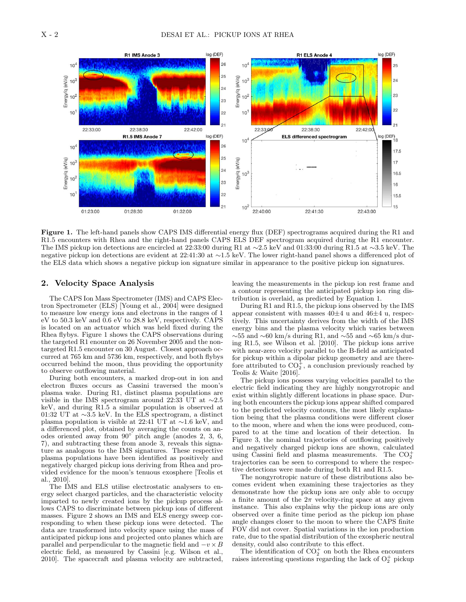

Figure 1. The left-hand panels show CAPS IMS differential energy flux (DEF) spectrograms acquired during the R1 and R1.5 encounters with Rhea and the right-hand panels CAPS ELS DEF spectrogram acquired during the R1 encounter. The IMS pickup ion detections are encircled at 22:33:00 during R1 at ∼2.5 keV and 01:33:00 during R1.5 at ∼3.5 keV. The negative pickup ion detections are evident at 22:41:30 at ∼1.5 keV. The lower right-hand panel shows a differenced plot of the ELS data which shows a negative pickup ion signature similar in appearance to the positive pickup ion signatures.

#### 2. Velocity Space Analysis

The CAPS Ion Mass Spectrometer (IMS) and CAPS Electron Spectrometer (ELS) [Young et al., 2004] were designed to measure low energy ions and electrons in the ranges of 1 eV to 50.3 keV and 0.6 eV to 28.8 keV, respectively. CAPS is located on an actuator which was held fixed during the Rhea flybys. Figure 1 shows the CAPS observations during the targeted R1 enounter on 26 November 2005 and the nontargeted R1.5 encounter on 30 August. Closest approach occurred at 765 km and 5736 km, respectively, and both flybys occurred behind the moon, thus providing the opportunity to observe outflowing material.

During both encounters, a marked drop-out in ion and electron fluxes occurs as Cassini traversed the moon's plasma wake. During R1, distinct plasma populations are visible in the IMS spectrogram around 22:33 UT at ∼2.5 keV, and during R1.5 a similar population is observed at 01:32 UT at ∼3.5 keV. In the ELS spectrogram, a distinct plasma population is visible at 22:41 UT at ∼1.6 keV, and a differenced plot, obtained by averaging the counts on anodes oriented away from 90◦ pitch angle (anodes 2, 3, 6, 7), and subtracting these from anode 3, reveals this signature as analogous to the IMS signatures. These respective plasma populations have been identified as positively and negatively charged pickup ions deriving from Rhea and provided evidence for the moon's tenuous exosphere [Teolis et al., 2010].

The IMS and ELS utilise electrostatic analysers to energy select charged particles, and the characteristic velocity imparted to newly created ions by the pickup process allows CAPS to discriminate between pickup ions of different masses. Figure 2 shows an IMS and ELS energy sweep corresponding to when these pickup ions were detected. The data are transformed into velocity space using the mass of anticipated pickup ions and projected onto planes which are parallel and perpendicular to the magnetic field and  $-v \times B$ electric field, as measured by Cassini [e.g. Wilson et al., 2010]. The spacecraft and plasma velocity are subtracted,

leaving the measurements in the pickup ion rest frame and a contour representing the anticipated pickup ion ring distribution is overlaid, as predicted by Equation 1.

During R1 and R1.5, the pickup ions observed by the IMS appear consistent with masses  $40\pm4$  u and  $46\pm4$  u, respectively. This uncertainty derives from the width of the IMS energy bins and the plasma velocity which varies between  $\sim$ 55 and  $\sim$ 60 km/s during R1, and  $\sim$ 55 and  $\sim$ 65 km/s during R1.5, see Wilson et al. [2010]. The pickup ions arrive with near-zero velocity parallel to the B-field as anticipated for pickup within a dipolar pickup geometry and are therefore attributed to  $CO_2^+$ , a conclusion previously reached by Teolis & Waite [2016].

The pickup ions possess varying velocities parallel to the electric field indicating they are highly nongyrotropic and exist within slightly different locations in phase space. During both encounters the pickup ions appear shifted compared to the predicted velocity contours, the most likely explanation being that the plasma conditions were different closer to the moon, where and when the ions were produced, compared to at the time and location of their detection. In Figure 3, the nominal trajectories of outflowing positively and negatively charged pickup ions are shown, calculated using Cassini field and plasma measurements. The  $CO_2^+$ trajectories can be seen to correspond to where the respective detections were made during both R1 and R1.5.

The nongyrotropic nature of these distributions also becomes evident when examining these trajectories as they demonstrate how the pickup ions are only able to occupy a finite amount of the  $2\pi$  velocity-ring space at any given instance. This also explains why the pickup ions are only observed over a finite time period as the pickup ion phase angle changes closer to the moon to where the CAPS finite FOV did not cover. Spatial variations in the ion production rate, due to the spatial distribution of the exospheric neutral density, could also contribute to this effect.

The identification of  $CO_2^+$  on both the Rhea encounters raises interesting questions regarding the lack of  $O_2^+$  pickup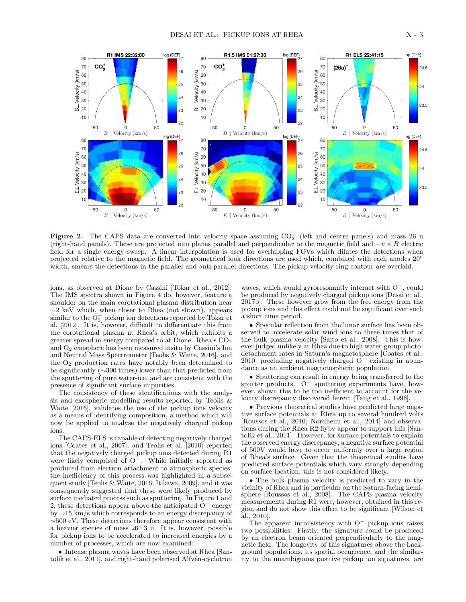

Figure 2. The CAPS data are converted into velocity space assuming  $CO_2^+$  (left and centre panels) and mass 26 u (right-hand panels). These are projected into planes parallel and perpendicular to the magnetic field and  $-v \times B$  electric field for a single energy sweep. A linear interpolation is used for overlapping FOVs which dilutes the detections when projected relative to the magnetic field. The geometrical look directions are used which, combined with each anodes 20° width, smears the detections in the parallel and anti-parallel directions. The pickup velocity ring-contour are overlaid.

ions, as observed at Dione by Cassini [Tokar et al., 2012]. The IMS spectra shown in Figure 4 do, however, feature a shoulder on the main corotational plasma distribution near ∼2 keV which, when closer to Rhea (not shown), appears similar to the  $O_2^+$  pickup ion detections reported by Tokar et al. [2012]. It is, however, difficult to differentiate this from the corotational plasma at Rhea's orbit, which exhibits a greater spread in energy compared to at Dione. Rhea's CO<sup>2</sup> and O<sup>2</sup> exosphere has been measured insitu by Cassini's Ion and Neutral Mass Spectrometer [Teolis & Waite, 2016], and the  $O<sub>2</sub>$  production rates have notably been determined to be significantly (∼300 times) lower than that predicted from the sputtering of pure water-ice, and are consistent with the presence of significant surface impurities.

The consistency of these identifications with the analysis and exospheric modelling results reported by Teolis & Waite [2016], validates the use of the pickup ions velocity as a means of identifying composition, a method which will now be applied to analyse the negatively charged pickup ions.

The CAPS-ELS is capable of detecting negatively charged ions [Coates et al., 2007], and Teolis et al. [2010] reported that the negatively charged pickup ions detected during R1 were likely comprised of O<sup>−</sup>. While initially reported as produced from electron attachment to atmospheric species, the inefficiency of this process was highlighted in a subsequent study [Teolis & Waite, 2016; Itikawa, 2009], and it was consequently suggested that these were likely produced by surface mediated process such as sputtering. In Figure 1 and 2, these detections appear above the anticipated O<sup>−</sup> energy by ∼15 km/s which corresponds to an energy discrepancy of ∼500 eV. These detections therefore appear consistent with a heavier species of mass 26±3 u. It is, however, possible for pickup ions to be accelerated to increased energies by a number of processes, which are now examined:

• Intense plasma waves have been observed at Rhea [Santolík et al., 2011], and right-hand polarised Alfvén-cyclotron

waves, which would gyroresonantly interact with O<sup>−</sup>, could be produced by negatively charged pickup ions [Desai et al., 2017b]. These however grow from the free energy from the pickup ions and this effect could not be significant over such a short time period.

• Specular reflection from the lunar surface has been observed to accelerate solar wind ions to three times that of the bulk plasma velocity [Saito et al., 2008]. This is however judged unlikely at Rhea due to high water-group photodetachment rates in Saturn's magnetosphere [Coates et al., 2010] precluding negatively charged O<sup>−</sup> existing in abundance as an ambient magnetospheric population.

• Sputtering can result in energy being transferred to the sputter products. O<sup>−</sup> sputtering experiments have, however, shown this to be too inefficient to account for the velocity discrepancy discovered herein [Tang et al., 1996].

• Previous theoretical studies have predicted large negative surface potentials at Rhea up to several hundred volts [Roussos et al., 2010; Nordheim et al., 2014] and observations during the Rhea R2 flyby appear to support this [Santolik et al., 2011]. However, for surface potentials to explain the observed energy discrepancy, a negative surface potential of 500V would have to occur uniformly over a large region of Rhea's surface. Given that the theoretical studies have predicted surface potentials which vary strongly depending on surface location, this is not considered likely.

• The bulk plasma velocity is predicted to vary in the vicinity of Rhea and in particular on the Saturn-facing hemisphere [Roussos et al., 2008]. The CAPS plasma velocity measurements during R1 were, however, obtained in this region and do not show this effect to be significant [Wilson et al., 2010].

The apparent inconsistency with  $O^-$  pickup ions raises two possibilities. Firstly, the signature could be produced by an electron beam oriented perpendicularly to the magnetic field. The longevity of this signatures above the background populations, its spatial occurrence, and the similarity to the unambiguous positive pickup ion signatures, are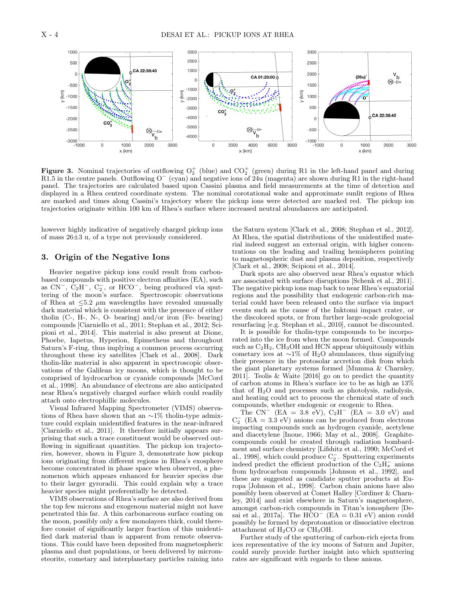

Figure 3. Nominal trajectories of outflowing  $O_2^+$  (blue) and  $CO_2^+$  (green) during R1 in the left-hand panel and during R1.5 in the centre panels. Outflowing O<sup>−</sup> (cyan) and negative ions of 24u (magenta) are shown during R1 in the right-hand panel. The trajectories are calculated based upon Cassini plasma and field measurements at the time of detection and displayed in a Rhea centred coordinate system. The nominal corotational wake and approximate sunlit regions of Rhea are marked and times along Cassini's trajectory where the pickup ions were detected are marked red. The pickup ion trajectories originate within 100 km of Rhea's surface where increased neutral abundances are anticipated.

however highly indicative of negatively charged pickup ions of mass 26±3 u, of a type not previously considered.

### 3. Origin of the Negative Ions

Heavier negative pickup ions could result from carbonbased compounds with positive electron affinities (EA), such as  $CN^-$ ,  $C_2H^-$ ,  $C_2^-$ , or  $HCO^-$ , being produced via sputtering of the moon's surface. Spectroscopic observations of Rhea at  $\leq 5.2 \mu m$  wavelengths have revealed unusually dark material which is consistent with the presence of either tholin (C-, H-, N-, O- bearing) and/or iron (Fe- bearing) compounds [Ciarniello et al., 2011; Stephan et al., 2012; Scipioni et al., 2014]. This material is also present at Dione, Phoebe, Iapetus, Hyperion, Epimetheus and throughout Saturn's F-ring, thus implying a common process occurring throughout these icy satellites [Clark et al., 2008]. Dark tholin-like material is also apparent in spectroscopic observations of the Galilean icy moons, which is thought to be comprised of hydrocarbon or cyanide compounds [McCord et al., 1998]. An abundance of electrons are also anticipated near Rhea's negatively charged surface which could readily attach onto electrophillic molecules.

Visual Infrared Mapping Spectrometer (VIMS) observations of Rhea have shown that an ∼1% tholin-type admixture could explain unidentified features in the near-infrared [Ciarniello et al., 2011]. It therefore initially appears surprising that such a trace constituent would be observed outflowing in significant quantities. The pickup ion trajectories, however, shown in Figure 3, demonstrate how pickup ions originating from different regions in Rhea's exosphere become concentrated in phase space when observed, a phenomenon which appears enhanced for heavier species due to their larger gyroradii. This could explain why a trace heavier species might preferentially be detected.

VIMS observations of Rhea's surface are also derived from the top few microns and exogenous material might not have penetrated this far. A thin carbonaceous surface coating on the moon, possibly only a few monolayers thick, could therefore consist of significantly larger fraction of this unidentified dark material than is apparent from remote observations. This could have been deposited from magnetospheric plasma and dust populations, or been delivered by micrometeorite, cometary and interplanetary particles raining into

the Saturn system [Clark et al., 2008; Stephan et al., 2012]. At Rhea, the spatial distributions of the unidentified material indeed suggest an external origin, with higher concentrations on the leading and trailing hemispheres pointing to magnetospheric dust and plasma deposition, respectively [Clark et al., 2008; Scipioni et al., 2014].

Dark spots are also observed near Rhea's equator which are associated with surface disruptions [Schenk et al., 2011]. The negative pickup ions map back to near Rhea's equatorial regions and the possibility that endogenic carbon-rich material could have been released onto the surface via impact events such as the cause of the Inktomi impact crater, or the discolored spots, or from further large-scale geologocial resurfacing [e.g. Stephan et al., 2010], cannot be discounted.

It is possible for tholin-type compounds to be incorporated into the ice from when the moon formed. Compounds such as  $C_2H_2$ ,  $CH_3OH$  and HCN appear ubiquitously within cometary ices at  $\sim$ 1% of H<sub>2</sub>O abundances, thus signifying their presence in the protosolar accretion disk from which the giant planetary systems formed [Mumma & Charnley, 2011]. Teolis & Waite [2016] go on to predict the quantity of carbon atoms in Rhea's surface ice to be as high as 13% that of  $H_2O$  and processes such as photolysis, radiolysis, and heating could act to process the chemical state of such compounds, whether endogenic or exogenic to Rhea.

The  $CN^{-}$  (EA = 3.8 eV), C<sub>2</sub>H  $(EA = 3.8$  eV),  $C_2H^-$  (EA = 3.0 eV) and  $C_2^-$  (EA = 3.3 eV) anions can be produced from electrons impacting compounds such as hydrogen cyanide, acetylene and diacetylene [Inoue, 1966; May et al., 2008]. Graphitecompounds could be created through radiation bombardment and surface chemistry [Lifshitz et al., 1990; McCord et al., 1998], which could produce C<sub>2</sub>. Sputtering experiments indeed predict the efficient production of the  $C_2 \hat{H}^-_x$  anions from hydrocarbon compounds [Johnson et al., 1992], and these are suggested as candidate sputter products at Europa [Johnson et al., 1998]. Carbon chain anions have also possibly been observed at Comet Halley [Cordiner & Charnley, 2014] and exist elsewhere in Saturn's magnetosphere, amongst carbon-rich compounds in Titan's ionosphere [Desai et al., 2017a]. The  $HCO^-$  (EA = 0.31 eV) anion could possibly be formed by deprotonation or dissociative electron attachment of H2CO or CH3OH.

Further study of the sputtering of carbon-rich ejecta from ices representative of the icy moons of Saturn and Jupiter, could surely provide further insight into which sputtering rates are significant with regards to these anions.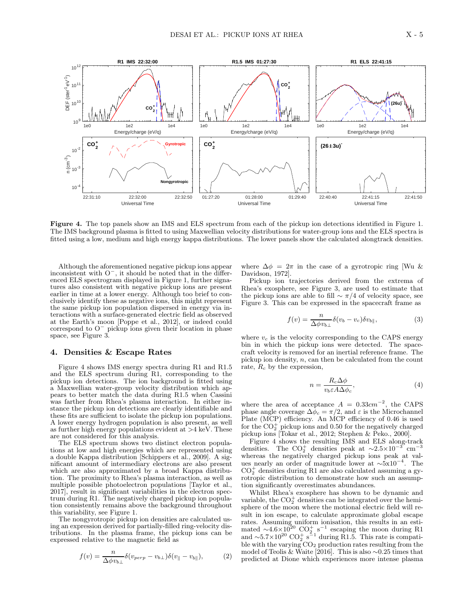

Figure 4. The top panels show an IMS and ELS spectrum from each of the pickup ion detections identified in Figure 1. The IMS background plasma is fitted to using Maxwellian velocity distributions for water-group ions and the ELS spectra is fitted using a low, medium and high energy kappa distributions. The lower panels show the calculated alongtrack densities.

Although the aforementioned negative pickup ions appear inconsistent with O<sup>−</sup>, it should be noted that in the differenced ELS spectrogram displayed in Figure 1, further signatures also consistent with negative pickup ions are present earlier in time at a lower energy. Although too brief to conclusively identify these as negative ions, this might represent the same pickup ion population dispersed in energy via interactions with a surface-generated electric field as observed at the Earth's moon [Poppe et al., 2012], or indeed could correspond to O<sup>−</sup> pickup ions given their location in phase space, see Figure 3.

#### 4. Densities & Escape Rates

Figure 4 shows IMS energy spectra during R1 and R1.5 and the ELS spectrum during R1, corresponding to the pickup ion detections. The ion background is fitted using a Maxwellian water-group velocity distribution which appears to better match the data during R1.5 when Cassini was farther from Rhea's plasma interaction. In either instance the pickup ion detections are clearly identifiable and these fits are sufficient to isolate the pickup ion populations. A lower energy hydrogen population is also present, as well as further high energy populations evident at  $>4$  keV. These are not considered for this analysis.

The ELS spectrum shows two distinct electron populations at low and high energies which are represented using a double Kappa distribution [Schippers et al., 2009]. A significant amount of intermediary electrons are also present which are also approximated by a broad Kappa distribution. The proximity to Rhea's plasma interaction, as well as multiple possible photoelectron populations [Taylor et al., 2017], result in significant variabilities in the electron spectrum during R1. The negatively charged pickup ion population consistently remains above the background throughout this variability, see Figure 1.

The nongyrotropic pickup ion densities are calculated using an expression derived for partially-filled ring-velocity distributions. In the plasma frame, the pickup ions can be expressed relative to the magnetic field as

$$
f(v) = \frac{n}{\Delta \phi v_{b\perp}} \delta(v_{perp} - v_{b\perp}) \delta(v_{\parallel} - v_{b\parallel}), \tag{2}
$$

where  $\Delta \phi = 2\pi$  in the case of a gyrotropic ring [Wu & Davidson, 1972].

Pickup ion trajectories derived from the extrema of Rhea's exosphere, see Figure 3, are used to estimate that the pickup ions are able to fill  $\sim \pi/4$  of velocity space, see Figure 3. This can be expressed in the spacecraft frame as

$$
f(v) = \frac{n}{\Delta \phi v_{b\perp}} \delta(v_b - v_c) \delta v_{b\parallel},
$$
\n(3)

where  $v_c$  is the velocity corresponding to the CAPS energy bin in which the pickup ions were detected. The spacecraft velocity is removed for an inertial reference frame. The pickup ion density, n, can then be calculated from the count rate,  $R_c$  by the expression,

$$
n = \frac{R_c \Delta \phi}{v_b \varepsilon A \Delta \phi_c},\tag{4}
$$

where the area of acceptance  $A = 0.33 \text{cm}^{-2}$ , the CAPS phase angle coverage  $\Delta \phi_c = \pi/2$ , and  $\varepsilon$  is the Microchannel Plate (MCP) efficiency. An MCP efficiency of 0.46 is used for the  $CO_2^+$  pickup ions and 0.50 for the negatively charged pickup ions [Tokar et al., 2012; Stephen & Peko., 2000].

Figure 4 shows the resulting IMS and ELS along-track densities. The CO<sup>+</sup> densities peak at  $\sim$ 2.5×10<sup>-3</sup> cm<sup>−</sup><sup>3</sup> whereas the negatively charged pickup ions peak at values nearly an order of magnitude lower at ∼5x10<sup>−</sup><sup>4</sup> . The  $CO<sub>2</sub><sup>+</sup>$  densities during R1 are also calculated assuming a gyrotropic distribution to demonstrate how such an assumption significantly overestimates abundances.

Whilst Rhea's exosphere has shown to be dynamic and variable, the  $CO_2^+$  densities can be integrated over the hemisphere of the moon where the motional electric field will result in ion escape, to calculate approximate global escape rates. Assuming uniform ionisation, this results in an esti-<br>mated ∼4.6×10<sup>20</sup> CO<sub>2</sub><sup>+</sup> s<sup>-1</sup> escaping the moon during R1<br>and ~5.7×10<sup>20</sup> CO<sub>2</sub><sup>+</sup> s<sup>-1</sup> during R1.5. This rate is compatible with the varying CO<sup>2</sup> production rates resulting from the model of Teolis & Waite [2016]. This is also ∼0.25 times that predicted at Dione which experiences more intense plasma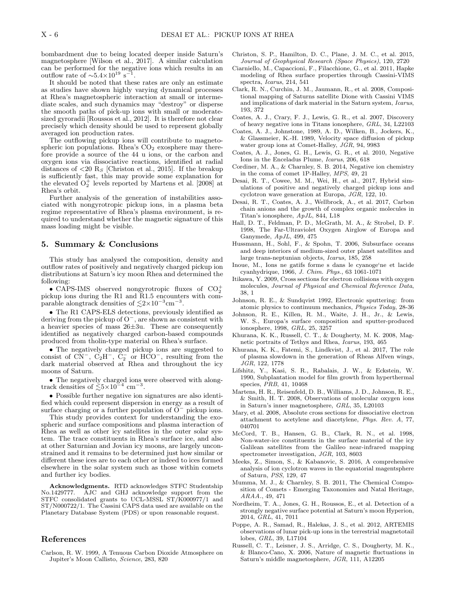bombardment due to being located deeper inside Saturn's magnetosphere [Wilson et al., 2017]. A similar calculation can be performed for the negative ions which results in an outflow rate of  $\sim 5.4 \times 10^{19} \text{ s}^{-1}$ .

It should be noted that these rates are only an estimate as studies have shown highly varying dynamical processes at Rhea's magnetospheric interaction at small or intermediate scales, and such dynamics may "destroy" or disperse the smooth paths of pick-up ions with small or moderatesized gyroradii [Roussos et al., 2012]. It is therefore not clear precisely which density should be used to represent globally averaged ion production rates.

The outflowing pickup ions will contribute to magnetospheric ion populations. Rhea's  $CO<sub>2</sub>$  exosphere may therefore provide a source of the 44 u ions, or the carbon and oxygen ions via dissociative reactions, identified at radial distances of  $\langle 20 \text{ R}_s |$  [Christon et al., 2015]. If the breakup is sufficiently fast, this may provide some explanation for the elevated  $O_2^+$  levels reported by Martens et al. [2008] at Rhea's orbit.

Further analysis of the generation of instabilities associated with nongyrotropic pickup ions, in a plasma beta regime representative of Rhea's plasma environment, is required to understand whether the magnetic signature of this mass loading might be visible.

#### 5. Summary & Conclusions

This study has analysed the composition, density and outflow rates of positively and negatively charged pickup ion distributions at Saturn's icy moon Rhea and determined the following:

• CAPS-IMS observed nongyrotropic fluxes of  $CO_2^+$ pickup ions during the R1 and R1.5 encounters with comparable alongtrack densities of  $\lesssim 2 \times 10^{-3}$  cm<sup>-3</sup> .

• The R1 CAPS-ELS detections, previously identified as deriving from the pickup of O<sup>−</sup>, are shown as consistent with a heavier species of mass 26±3u. These are consequently identified as negatively charged carbon-based compounds produced from tholin-type material on Rhea's surface.

• The negatively charged pickup ions are suggested to consist of  $\overline{CN}^-$ ,  $\overline{C_2}H^-$ ,  $\overline{C_2}^-$  or  $\overline{HCO}^-$ , resulting from the dark material observed at Rhea and throughout the icy moons of Saturn.

• The negatively charged ions were observed with alongtrack densities of  $\lesssim 5 \times 10^{-4}$  cm<sup>-3</sup>.

• Possible further negative ion signatures are also identified which could represent dispersion in energy as a result of surface charging or a further population of O<sup>−</sup> pickup ions.

This study provides context for understanding the exospheric and surface compositions and plasma interaction of Rhea as well as other icy satellites in the outer solar system. The trace constituents in Rhea's surface ice, and also at other Saturnian and Jovian icy moons, are largely unconstrained and it remains to be determined just how similar or different these ices are to each other or indeed to ices formed elsewhere in the solar system such as those within comets and further icy bodies.

Acknowledgments. RTD acknowledges STFC Studentship No.1429777. AJC and GHJ acknowledge support from the STFC consolidated grants to UCL-MSSL ST/K000977/1 and ST/N000722/1. The Cassini CAPS data used are available on the Planetary Database System (PDS) or upon reasonable request.

## References

Carlson, R. W. 1999, A Tenuous Carbon Dioxide Atmosphere on Jupiter's Moon Callisto, Science, 283, 820

- Christon, S. P., Hamilton, D. C., Plane, J. M. C., et al. 2015, Journal of Geophysical Research (Space Physics), 120, 2720
- Ciarniello, M., Capaccioni, F., Filacchione, G., et al. 2011, Hapke modeling of Rhea surface properties through Cassini-VIMS spectra, Icarus, 214, 541
- Clark, R. N., Curchin, J. M., Jaumann, R., et al. 2008, Compositional mapping of Saturns satellite Dione with Cassini VIMS and implications of dark material in the Saturn system, Icarus, 193, 372
- Coates, A. J., Crary, F. J., Lewis, G. R., et al. 2007, Discovery of heavy negative ions in Titans ionosphere, GRL, 34, L22103
- Coates, A. J., Johnstone, 1989, A. D., Wilken, B., Jockers, K., & Glassmeier, K.-H. 1989, Velocity space diffusion of pickup water group ions at Comet-Halley, JGR, 94, 9983
- Coates, A. J., Jones, G. H., Lewis, G. R., et al. 2010, Negative Ions in the Enceladus Plume, Icarus, 206, 618
- Cordiner, M. A., & Charnley, S. B. 2014, Negative ion chemistry in the coma of comet 1P-Halley, MPS, 49, 21
- Desai, R. T., Cowee, M. M., Wei, H., et al., 2017, Hybrid simulations of positive and negatively charged pickup ions and cyclotron wave generation at Europa, JGR, 122, 10.
- Desai, R. T., Coates, A. J., Wellbrock, A., et al. 2017, Carbon chain anions and the growth of complex organic molecules in Titan's ionosphere, ApJL, 844, L18
- Hall, D. T., Feldman, P. D., McGrath, M. A., & Strobel, D. F. 1998, The Far-Ultraviolet Oxygen Airglow of Europa and Ganymede, ApJL, 499, 475
- Hussmann, H., Sohl, F., & Spohn, T. 2006, Subsurface oceans and deep interiors of medium-sized outer planet satellites and large trans-neptunian objects, Icarus, 185, 258
- Inoue, M., Ions ne gatifs forme s dans le cyanoge'ne et lacide cyanhydrique, 1966, J. Chim. Phys., 63 1061-1071
- Itikawa, Y. 2009, Cross sections for electron collisions with oxygen molecules, Journal of Physical and Chemical Reference Data, 38, 1
- Johnson, R. E., & Sundqvist 1992, Electronic sputtering: from atomic physics to continuum mechanics, Physics Today, 28-36
- Johnson, R. E., Killen, R. M., Waite, J. H., Jr., & Lewis, W. S., Europa's surface composition and sputter-produced ionosphere, 1998, GRL, 25, 3257
- Khurana, K. K., Russell, C. T., & Dougherty, M. K. 2008, Magnetic portraits of Tethys and Rhea, Icarus, 193, 465
- Khurana, K. K., Fatemi, S., Lindkvist, J., et al. 2017, The role of plasma slowdown in the generation of Rheas Alfven wings, JGR, 122, 1778
- Lifshitz, Y., Kasi, S. R., Rabalais, J. W., & Eckstein, W. 1990, Subplantation model for film growth from hyperthermal species, PRB, 41, 10468
- Martens, H. R., Reisenfeld, D. B., Williams, J. D., Johnson, R. E., & Smith, H. T. 2008, Observations of molecular oxygen ions in Saturn's inner magnetosphere, GRL, 35, L20103
- Mary, et al. 2008, Absolute cross sections for dissociative electron attachment to acetylene and diacetylene, Phys. Rev. A, 77, 040701
- McCord, T. B., Hansen, G. B., Clark, R. N., et al. 1998, Non-water-ice constituents in the surface material of the icy Galilean satellites from the Galileo near-infrared mapping spectrometer investigation, JGR, 103, 8603
- Meeks, Z., Simon, S., & Kabanovic, S. 2016, A comprehensive analysis of ion cyclotron waves in the equatorial magentsphere of Saturn, PSS, 129, 47
- Mumma, M. J., & Charnley, S. B. 2011, The Chemical Composition of Comets - Emerging Taxonomies and Natal Heritage, ARAA., 49, 471
- Nordheim, T. A., Jones, G. H., Roussos, E., et al. Detection of a strongly negative surface potential at Saturn's moon Hyperion, 2014, GRL, 41, 7011
- Poppe, A. R., Samad, R., Halekas, J. S., et al. 2012, ARTEMIS observations of lunar pick-up ions in the terrestrial magnetotail lobes, GRL, 39, L17104
- Russell, C. T., Leisner, J. S., Arridge, C. S., Dougherty, M. K., & Blanco-Cano, X. 2006, Nature of magnetic fluctuations in Saturn's middle magnetosphere, JGR, 111, A12205